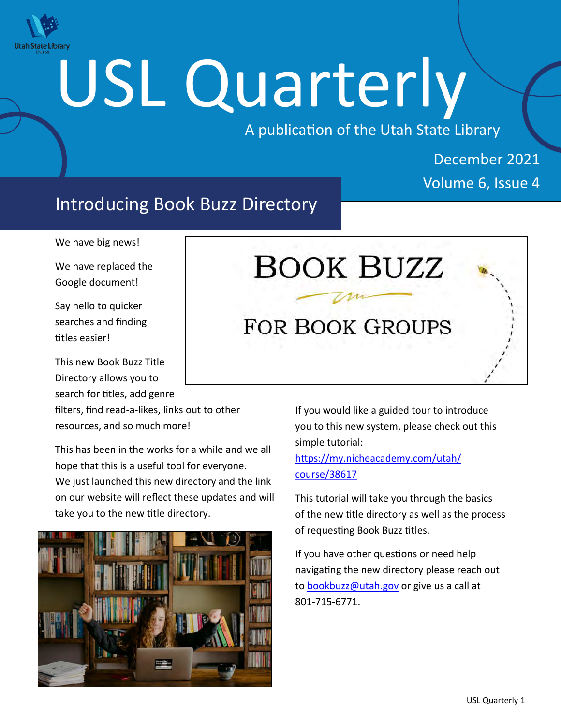

# USL Quarterly

A publication of the Utah State Library

# December 2021 Volume 6, Issue 4

# Introducing Book Buzz Directory

We have big news!

We have replaced the Google document!

Say hello to quicker searches and finding titles easier!

This new Book Buzz Title Directory allows you to search for titles, add genre

filters, find read-a-likes, links out to other resources, and so much more!

This has been in the works for a while and we all hope that this is a useful tool for everyone. We just launched this new directory and the link on our website will reflect these updates and will take you to the new title directory.



# BOOK BUZZ **FOR BOOK GROUPS**

If you would like a guided tour to introduce you to this new system, please check out this simple tutorial:

[https://my.nicheacademy.com/utah/](https://my.nicheacademy.com/utah/course/38617) [course/38617](https://my.nicheacademy.com/utah/course/38617)

This tutorial will take you through the basics of the new title directory as well as the process of requesting Book Buzz titles.

If you have other questions or need help navigating the new directory please reach out to [bookbuzz@utah.gov](mailto:bookbuzz@utah.gov) or give us a call at 801-715-6771.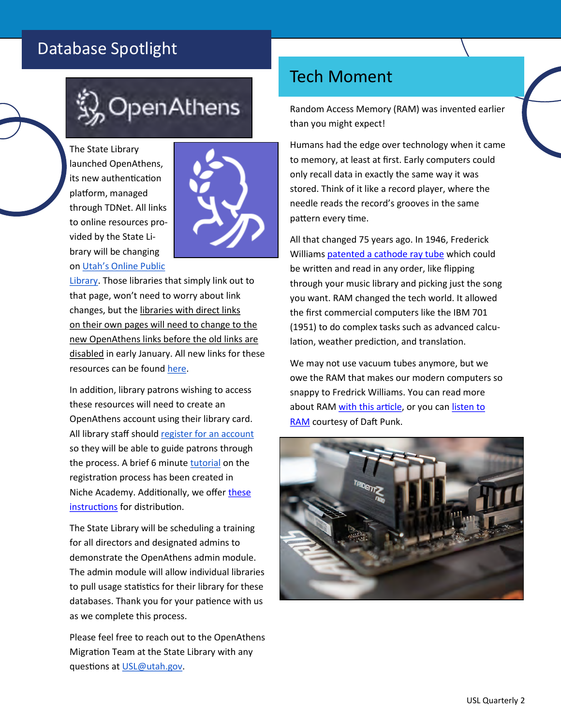# Database Spotlight



The State Library launched OpenAthens, its new authentication platform, managed through TDNet. All links to online resources provided by the State Library will be changing on [Utah's Online Public](http://onlinelibrary.utah.gov) 



[Library.](http://onlinelibrary.utah.gov) Those libraries that simply link out to that page, won't need to worry about link changes, but the libraries with direct links on their own pages will need to change to the new OpenAthens links before the old links are disabled in early January. All new links for these resources can be found [here.](https://docs.google.com/spreadsheets/d/1_7CfP89l3UchtTazdT6eQPrXaZOJFYGSzT0yM1vx-k8/edit#gid=1326743381)

In addition, library patrons wishing to access these resources will need to create an OpenAthens account using their library card. All library staff should [register for an account](https://ut.tdnetdiscover.com/openathens/registration) so they will be able to guide patrons through the process. A brief 6 minute [tutorial](https://my.nicheacademy.com/utah-libraries/course/40863) on the registration process has been created in Niche Academy. Additionally, we offer [these](https://drive.google.com/file/d/1_prqt6Z4pGb9ln5nIAHUPBlt4Pj8WvDP/view?usp=sharing)  [instructions](https://drive.google.com/file/d/1_prqt6Z4pGb9ln5nIAHUPBlt4Pj8WvDP/view?usp=sharing) for distribution.

The State Library will be scheduling a training for all directors and designated admins to demonstrate the OpenAthens admin module. The admin module will allow individual libraries to pull usage statistics for their library for these databases. Thank you for your patience with us as we complete this process.

Please feel free to reach out to the OpenAthens Migration Team at the State Library with any questions at [USL@utah.gov.](mailto:USL@utah.gov) 

# Tech Moment

Random Access Memory (RAM) was invented earlier than you might expect!

Humans had the edge over technology when it came to memory, at least at first. Early computers could only recall data in exactly the same way it was stored. Think of it like a record player, where the needle reads the record's grooves in the same pattern every time.

All that changed 75 years ago. In 1946, Frederick Williams [patented a cathode ray tube](https://www.computerhistory.org/tdih/december/11/#frederick-williams-receives-patent-for-memory-device) which could be written and read in any order, like flipping through your music library and picking just the song you want. RAM changed the tech world. It allowed the first commercial computers like the IBM 701 (1951) to do complex tasks such as advanced calculation, weather prediction, and translation.

We may not use vacuum tubes anymore, but we owe the RAM that makes our modern computers so snappy to Fredrick Williams. You can read more about RAM [with this article,](https://en.wikipedia.org/wiki/Random-access_memory) or you can listen to [RAM c](https://www.youtube.com/playlist?list=PLSbDLF8wQ3oIbKcH9ygj7owD0RvuNkguU)ourtesy of Daft Punk.

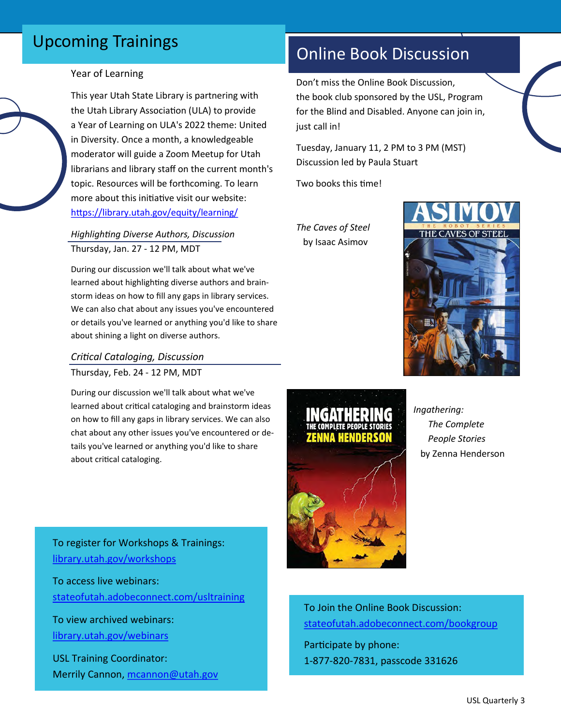# Upcoming Trainings

#### Year of Learning

This year Utah State Library is partnering with the Utah Library Association (ULA) to provide a Year of Learning on ULA's 2022 theme: United in Diversity. Once a month, a knowledgeable moderator will guide a Zoom Meetup for Utah librarians and library staff on the current month's topic. Resources will be forthcoming. To learn more about this initiative visit our website: <https://library.utah.gov/equity/learning/>

#### *Highlighting Diverse Authors, Discussion* Thursday, Jan. 27 - 12 PM, MDT

During our discussion we'll talk about what we've learned about highlighting diverse authors and brainstorm ideas on how to fill any gaps in library services. We can also chat about any issues you've encountered or details you've learned or anything you'd like to share about shining a light on diverse authors.

#### *Critical Cataloging, Discussion* Thursday, Feb. 24 - 12 PM, MDT

During our discussion we'll talk about what we've learned about critical cataloging and brainstorm ideas on how to fill any gaps in library services. We can also chat about any other issues you've encountered or details you've learned or anything you'd like to share about critical cataloging.

To register for Workshops & Trainings: [library.utah.gov/workshops](https://heritage.utah.gov/library/workshops)

To access live webinars: [stateofutah.adobeconnect.com/usltraining](http://stateofutah.adobeconnect.com/usltraining/)

To view archived webinars: [library.utah.gov/webinars](https://heritage.utah.gov/library/webinars)

USL Training Coordinator: Merrily Cannon, [mcannon@utah.gov](mailto:mcannon@utah.gov)

# Online Book Discussion

Don't miss the Online Book Discussion, the book club sponsored by the USL, Program for the Blind and Disabled. Anyone can join in, just call in!

Tuesday, January 11, 2 PM to 3 PM (MST) Discussion led by Paula Stuart

Two books this time!

*The Caves of Steel* by Isaac Asimov





 *Ingathering: The Complete People Stories* by Zenna Henderson

To Join the Online Book Discussion: [stateofutah.adobeconnect.com/bookgroup](https://stateofutah.adobeconnect.com/bookgroup) Participate by phone:

1-877-820-7831, passcode 331626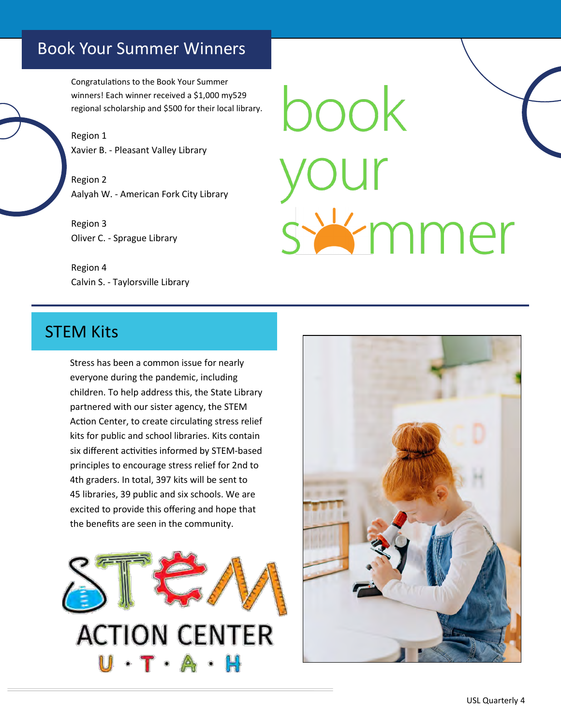## Book Your Summer Winners

Congratulations to the Book Your Summer winners! Each winner received a \$1,000 my529 regional scholarship and \$500 for their local library.

Region 1 Xavier B. - Pleasant Valley Library

Region 2 Aalyah W. - American Fork City Library

Region 3 Oliver C. - Sprague Library

Region 4 Calvin S. - Taylorsville Library

book swmmer

### STEM Kits

Stress has been a common issue for nearly everyone during the pandemic, including children. To help address this, the State Library partnered with our sister agency, the STEM Action Center, to create circulating stress relief kits for public and school libraries. Kits contain six different activities informed by STEM-based principles to encourage stress relief for 2nd to 4th graders. In total, 397 kits will be sent to 45 libraries, 39 public and six schools. We are excited to provide this offering and hope that the benefits are seen in the community.